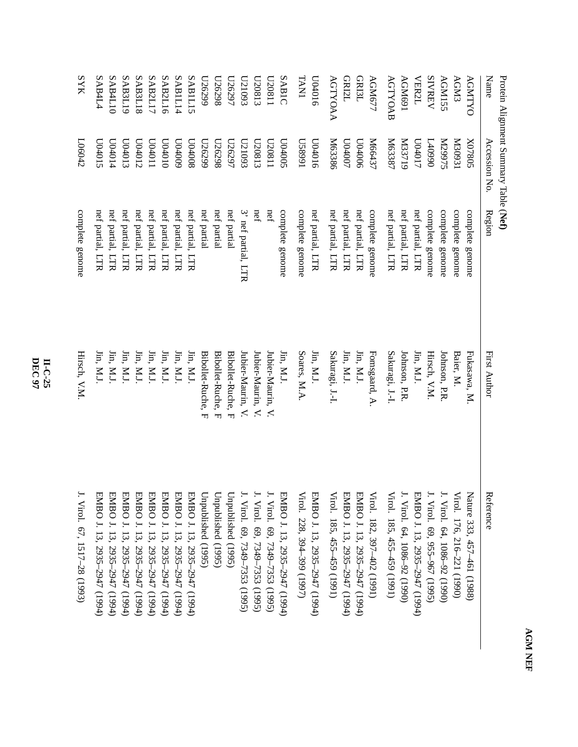| ý |   |  |
|---|---|--|
|   | í |  |
|   | Ě |  |
|   |   |  |
|   |   |  |
|   |   |  |

Protein Alignment SummaryTable (**Nef)**

| Name           | Accession No         | Region              | <b>First Author</b>                                          | Reference                     |
|----------------|----------------------|---------------------|--------------------------------------------------------------|-------------------------------|
| <b>AGNTYO</b>  | S0820X               | complete genome     | Fukasawa, M.                                                 | Nature 333, 457-461 (1988)    |
| <b>AGM3</b>    | I20931               | complete genome     | Baier, M.                                                    | Virol. 176, 216-221 (1990)    |
| AGM155         | SL66ZN               | complete genome     | Johnson, P.R                                                 | Viro1. 64, 1086–92 (1990)     |
| <b>SIVREV</b>  | 0660+7               | complete genome     | Hirsch, V.M.                                                 | Virol. 69, 955–967 (1995)     |
| <b>VER2L</b>   | L10401               | nef partial, LTR    | Jin, M.J.                                                    | EMBO J. 13, 2935-2947 (1994)  |
| AGM691         | N33719               | nef partial, LTR    | Johnson, P.R.                                                | . Virol. 64, 1086–92 (1990)   |
| ACTYOAB        | N63387               | nef partial, LTR    | Sakuragi, J.-I.                                              | /irol. 185, 455-459 (1991)    |
| AGM677         | M66437               | complete genome     | Fomsgaard, A                                                 | Virol. 182, 397-402 (1991)    |
| <b>GRI3L</b>   | 900 <sub>00</sub>    | nef partial, LTR    | $\operatorname{Jin}, \operatorname{M.J.}$                    | EMBO J. 13, 2935-2947 (1994)  |
| <b>GRI2L</b>   | L00 <sub>400</sub> 7 | nef partial, LTR    | $\mathop{\text{lin.}}\nolimits\mathop{\text{M.l.}}\nolimits$ | EMBO J. 13, 2935–2947 (1994)  |
| AGTYOAA        | M63386               | nef partial, LTR    | Sakuragi, J.-I.                                              | $Yiro1.$ 185, 455–459 (1991)  |
| 0104016        | 0.04016              | nef partial, LTR    | Jin, M.J.                                                    | EMBO J. 13, 2935–2947 (1994)  |
| <b>TAN1</b>    | 1668SN               | complete genome     | Soares, M.A.                                                 | /irol. 228, 394–399 (1997)    |
| SABIC          | S00+001              | complete genome     | Jin, M.J.                                                    | EMBO J. 13, 2935–2947 (1994)  |
| L180ZQ         | L20811               | nef                 | Jubier-Maurin, V.                                            | Virol. 69, 7349–7353 (1995)   |
| C180ZN         | L20813               | nef                 | Jubier-Maurin, V.                                            | . Virol. 69, 7349–7353 (1995) |
| C51093         | L21093               | 3' nef partial, LTR | Jubier-Maurin, V.                                            | ViroI. 69, 7349–7353 (1995)   |
| L62920         | L56297               | nef partial         | Bibollet-Ruche, F                                            | Jnpublished (1995)            |
| <b>U26298</b>  | L26298               | nef partial         | Bibollet-Ruche, F                                            | Jnpublished (1995)            |
| L26299         | 662920               | nef partial         | Bibollet-Ruche, F                                            | Jnpublished (1995)            |
| SABIL15        | R00+00               | nef partial, LTR    | Jin, M.J.                                                    | EMBO J. 13, 2935–2947 (1994)  |
| SABIL14        | 600+00               | nef partial, LTR    | $\lim$ , M.J                                                 | EMBO J. 13, 2935-2947 (1994)  |
| SAB2L16        | 010t0D               | nef partial, LTR    | $\lim,$ M.J.                                                 | EMBO J. 13, 2935–2947 (1994)  |
| SAB2L17        | L04011               | nef partial, LTR    | $\lim$ , M.J.                                                | EMBO J. 13, 2935-2947 (1994)  |
| <b>SAB3L18</b> | L04012               | nef partial, LTR    | $\lim,$ M.J.                                                 | EMBO J. 13, 2935-2947 (1994)  |
| SAB3L19        | L04013               | nef partial, LTR    | $\mathop{\text{lin}}\nolimits, \mathop{\text{M.l}}\nolimits$ | EMBO J. 13, 2935–2947 (1994)  |
| SAB4L10        | L04014               | nef partial, LTR    | $\lim,$ M.J.                                                 | EMBO J. 13, 2935-2947 (1994)  |
| <b>SAB4L4</b>  | C04015               | nef partial, LTR    | $\lim,$ M.J.                                                 | EMBO J. 13, 2935-2947 (1994)  |
| <b>SYK</b>     | L06042               | complete genome     | Hirsch, V.M.                                                 | . Virol. 67, 1517–28 (1993)   |

**DEC 97 II-C-25**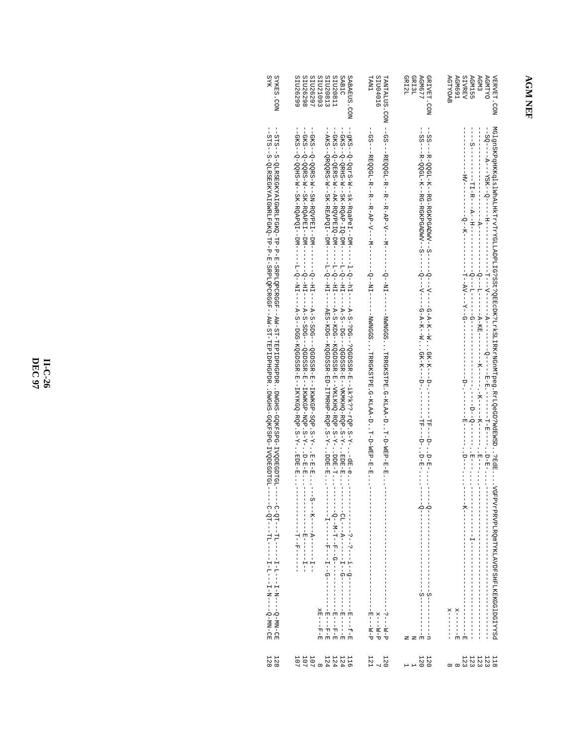## **AGM NEF**

| <b>SYR</b><br><b>SYKES. CON</b> | SIU26299<br>SEU26298<br>SIU26297<br>SIU21093<br>SI020813<br>SIU20811<br>SAB1C<br>SABAEUS.CON                                                                                                                                                                                                                                                                                                                                                                                                                                                                                          | SI004016<br><b>LAAT</b>                                                                                                                                     | GRI2L<br>GRI3L<br><b>AGM677</b><br>GRIVET.CON                               | SIVREV<br><b>AGMTYO</b><br><b>AGTYOAB</b><br><b>AGM691</b><br><b>AGM155</b><br>AGM <sub>3</sub><br><b>VERVET.CON</b>           |
|---------------------------------|---------------------------------------------------------------------------------------------------------------------------------------------------------------------------------------------------------------------------------------------------------------------------------------------------------------------------------------------------------------------------------------------------------------------------------------------------------------------------------------------------------------------------------------------------------------------------------------|-------------------------------------------------------------------------------------------------------------------------------------------------------------|-----------------------------------------------------------------------------|--------------------------------------------------------------------------------------------------------------------------------|
|                                 | --АКЗ --QRQQRS - М-- SK -RBA PQI---DM------L-Q--HII-----ABS -KDG--KQQDSS R - ED--I TPRHP-RQP . S - Y -- DDB - E.<br>--QKS--Q-QQHS-M--SR-RQAPQI--DM-------------A-S--DGS-RQGDSSR-M---IRXXRQQ-RQP.S-V---------------------<br>--QXS--Q-QQRS-M--SN-RQVPEH--DM--------Q--HH----A-S-SDQ---QQDSSR-B--IXWKQP-SQP.S-Y-B-B-B----S------------------<br>--GXS--Q-QERS-M-+AK-RQVPEIQ-DM------L-Q--HII----A-S-KDG--XQGDSSR-M--VXLIXHQ-RQP.S-Y--DDE-H----<br>--GKS--QPEHS-M--SK-RQAP-IQ-DM--<br>- - - - - Q - - M - H - - F - - Q - - - - - -<br>- - - - - - - - F - - - - - -<br>$E = -F - E - E$ | --GS---REQQGL-R--R--R-AP-V---M-------Q--MI-------MMMGGSTRRGKSTPE.Q-KLAA-DT-D-MEP-E-E----------<br>$d - M - - - Z - - -$<br>d - M - - - x<br>$d - M - - - 2$ | ςi<br>υ                                                                     | MG1gnSKFqHKKq1s1WhALHKTrVTrYGLLADPLIG?SSt?QEKCDK?LLkKSLIRKKYQMDeg.RrLQeGD?MdEWSD7edE\YGFPYrPENYDFERFLKEKCGJDGIYYSd<br>$x = -1$ |
| 128<br>128                      | 11111 1111<br>11440 000<br>11440                                                                                                                                                                                                                                                                                                                                                                                                                                                                                                                                                      | $120$<br>$120$                                                                                                                                              | $\begin{smallmatrix} 1 & 2 & 0 \\ 1 & 2 & 0 \\ 0 & 0 & 1 \end{smallmatrix}$ | 11222<br>2222                                                                                                                  |